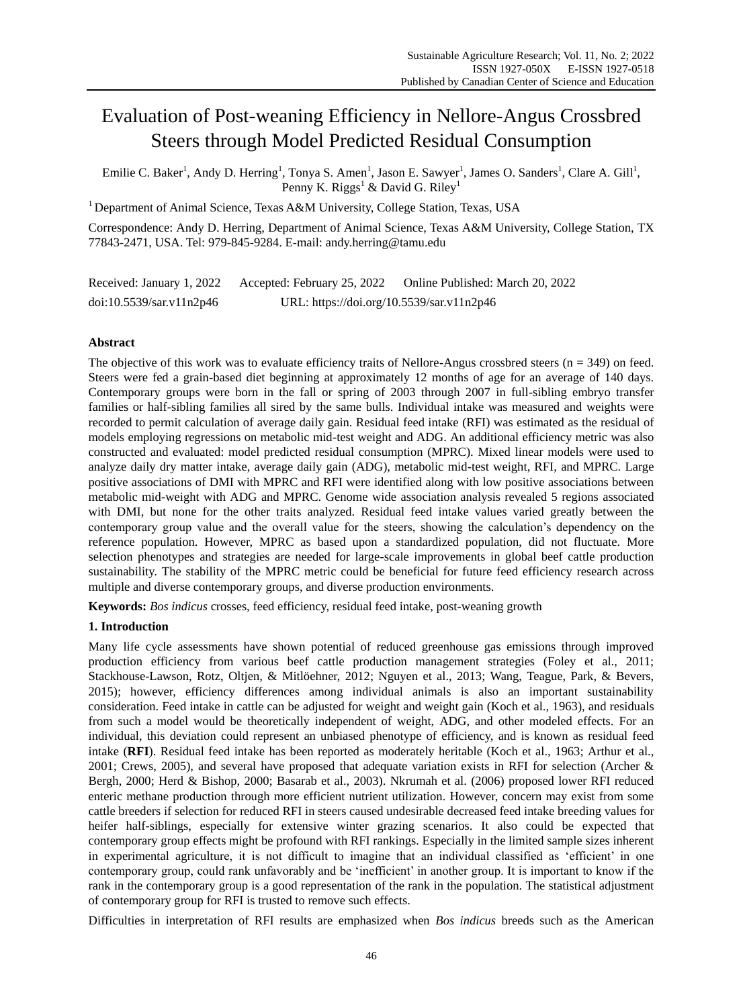# Evaluation of Post-weaning Efficiency in Nellore-Angus Crossbred Steers through Model Predicted Residual Consumption

Emilie C. Baker<sup>1</sup>, Andy D. Herring<sup>1</sup>, Tonya S. Amen<sup>1</sup>, Jason E. Sawyer<sup>1</sup>, James O. Sanders<sup>1</sup>, Clare A. Gill<sup>1</sup>, Penny K. Riggs<sup>1</sup> & David G. Riley<sup>1</sup>

<sup>1</sup> Department of Animal Science, Texas A&M University, College Station, Texas, USA

Correspondence: Andy D. Herring, Department of Animal Science, Texas A&M University, College Station, TX 77843-2471, USA. Tel: 979-845-9284. E-mail: andy.herring@tamu.edu

Received: January 1, 2022 Accepted: February 25, 2022 Online Published: March 20, 2022 doi:10.5539/sar.v11n2p46 URL: https://doi.org/10.5539/sar.v11n2p46

# **Abstract**

The objective of this work was to evaluate efficiency traits of Nellore-Angus crossbred steers ( $n = 349$ ) on feed. Steers were fed a grain-based diet beginning at approximately 12 months of age for an average of 140 days. Contemporary groups were born in the fall or spring of 2003 through 2007 in full-sibling embryo transfer families or half-sibling families all sired by the same bulls. Individual intake was measured and weights were recorded to permit calculation of average daily gain. Residual feed intake (RFI) was estimated as the residual of models employing regressions on metabolic mid-test weight and ADG. An additional efficiency metric was also constructed and evaluated: model predicted residual consumption (MPRC). Mixed linear models were used to analyze daily dry matter intake, average daily gain (ADG), metabolic mid-test weight, RFI, and MPRC. Large positive associations of DMI with MPRC and RFI were identified along with low positive associations between metabolic mid-weight with ADG and MPRC. Genome wide association analysis revealed 5 regions associated with DMI, but none for the other traits analyzed. Residual feed intake values varied greatly between the contemporary group value and the overall value for the steers, showing the calculation's dependency on the reference population. However, MPRC as based upon a standardized population, did not fluctuate. More selection phenotypes and strategies are needed for large-scale improvements in global beef cattle production sustainability. The stability of the MPRC metric could be beneficial for future feed efficiency research across multiple and diverse contemporary groups, and diverse production environments.

**Keywords:** *Bos indicus* crosses, feed efficiency, residual feed intake, post-weaning growth

# **1. Introduction**

Many life cycle assessments have shown potential of reduced greenhouse gas emissions through improved production efficiency from various beef cattle production management strategies (Foley et al., 2011; Stackhouse-Lawson, Rotz, Oltjen, & Mitlöehner, 2012; Nguyen et al., 2013; Wang, Teague, Park, & Bevers, 2015); however, efficiency differences among individual animals is also an important sustainability consideration. Feed intake in cattle can be adjusted for weight and weight gain (Koch et al., 1963), and residuals from such a model would be theoretically independent of weight, ADG, and other modeled effects. For an individual, this deviation could represent an unbiased phenotype of efficiency, and is known as residual feed intake (**RFI**). Residual feed intake has been reported as moderately heritable (Koch et al., 1963; Arthur et al., 2001; Crews, 2005), and several have proposed that adequate variation exists in RFI for selection (Archer & Bergh, 2000; Herd & Bishop, 2000; Basarab et al., 2003). Nkrumah et al. (2006) proposed lower RFI reduced enteric methane production through more efficient nutrient utilization. However, concern may exist from some cattle breeders if selection for reduced RFI in steers caused undesirable decreased feed intake breeding values for heifer half-siblings, especially for extensive winter grazing scenarios. It also could be expected that contemporary group effects might be profound with RFI rankings. Especially in the limited sample sizes inherent in experimental agriculture, it is not difficult to imagine that an individual classified as 'efficient' in one contemporary group, could rank unfavorably and be 'inefficient' in another group. It is important to know if the rank in the contemporary group is a good representation of the rank in the population. The statistical adjustment of contemporary group for RFI is trusted to remove such effects.

Difficulties in interpretation of RFI results are emphasized when *Bos indicus* breeds such as the American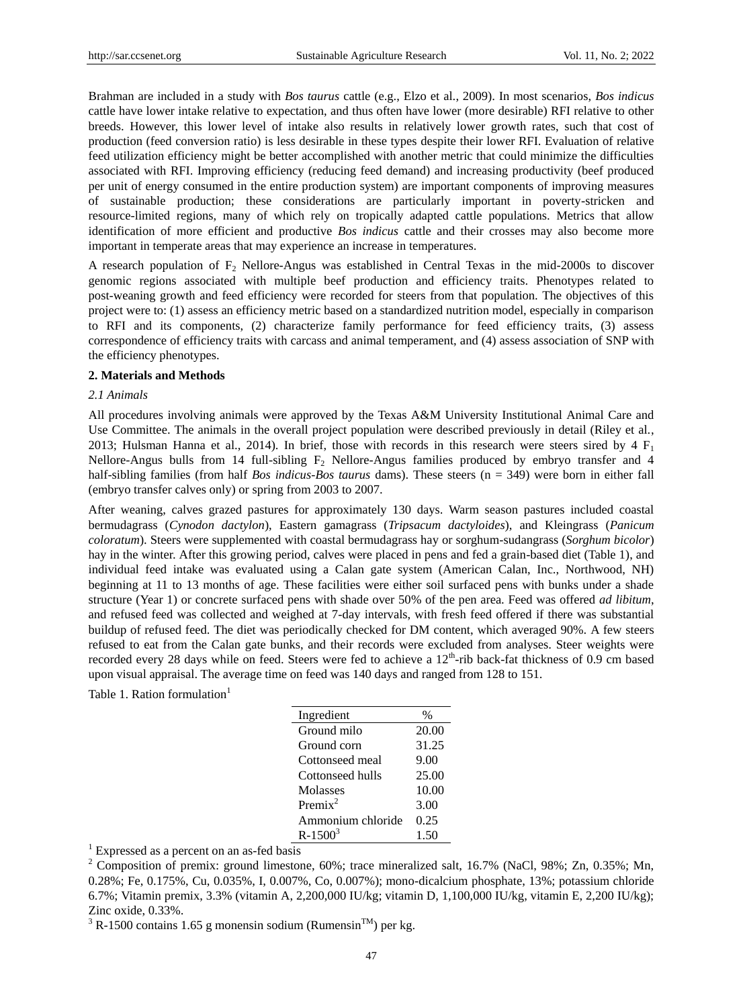Brahman are included in a study with *Bos taurus* cattle (e.g., Elzo et al., 2009). In most scenarios, *Bos indicus* cattle have lower intake relative to expectation, and thus often have lower (more desirable) RFI relative to other breeds. However, this lower level of intake also results in relatively lower growth rates, such that cost of production (feed conversion ratio) is less desirable in these types despite their lower RFI. Evaluation of relative feed utilization efficiency might be better accomplished with another metric that could minimize the difficulties associated with RFI. Improving efficiency (reducing feed demand) and increasing productivity (beef produced per unit of energy consumed in the entire production system) are important components of improving measures of sustainable production; these considerations are particularly important in poverty-stricken and resource-limited regions, many of which rely on tropically adapted cattle populations. Metrics that allow identification of more efficient and productive *Bos indicus* cattle and their crosses may also become more important in temperate areas that may experience an increase in temperatures.

A research population of  $F_2$  Nellore-Angus was established in Central Texas in the mid-2000s to discover genomic regions associated with multiple beef production and efficiency traits. Phenotypes related to post-weaning growth and feed efficiency were recorded for steers from that population. The objectives of this project were to: (1) assess an efficiency metric based on a standardized nutrition model, especially in comparison to RFI and its components, (2) characterize family performance for feed efficiency traits, (3) assess correspondence of efficiency traits with carcass and animal temperament, and (4) assess association of SNP with the efficiency phenotypes.

#### **2. Materials and Methods**

### *2.1 Animals*

All procedures involving animals were approved by the Texas A&M University Institutional Animal Care and Use Committee. The animals in the overall project population were described previously in detail (Riley et al., 2013; Hulsman Hanna et al., 2014). In brief, those with records in this research were steers sired by 4  $F_1$ Nellore-Angus bulls from 14 full-sibling  $F_2$  Nellore-Angus families produced by embryo transfer and 4 half-sibling families (from half *Bos indicus*-*Bos taurus* dams). These steers (n = 349) were born in either fall (embryo transfer calves only) or spring from 2003 to 2007.

After weaning, calves grazed pastures for approximately 130 days. Warm season pastures included coastal bermudagrass (*Cynodon dactylon*), Eastern gamagrass (*Tripsacum dactyloides*), and Kleingrass (*Panicum coloratum*). Steers were supplemented with coastal bermudagrass hay or sorghum-sudangrass (*Sorghum bicolor*) hay in the winter. After this growing period, calves were placed in pens and fed a grain-based diet (Table 1), and individual feed intake was evaluated using a Calan gate system (American Calan, Inc., Northwood, NH) beginning at 11 to 13 months of age. These facilities were either soil surfaced pens with bunks under a shade structure (Year 1) or concrete surfaced pens with shade over 50% of the pen area. Feed was offered *ad libitum*, and refused feed was collected and weighed at 7-day intervals, with fresh feed offered if there was substantial buildup of refused feed. The diet was periodically checked for DM content, which averaged 90%. A few steers refused to eat from the Calan gate bunks, and their records were excluded from analyses. Steer weights were recorded every 28 days while on feed. Steers were fed to achieve a  $12<sup>th</sup>$ -rib back-fat thickness of 0.9 cm based upon visual appraisal. The average time on feed was 140 days and ranged from 128 to 151.

Table 1. Ration formulation<sup>1</sup>

| Ingredient        | $\frac{0}{0}$ |
|-------------------|---------------|
| Ground milo       | 20.00         |
| Ground corn       | 31.25         |
| Cottonseed meal   | 9.00          |
| Cottonseed hulls  | 25.00         |
| Molasses          | 10.00         |
| Premi $x^2$       | 3.00          |
| Ammonium chloride | 0.25          |
| $R - 1500^3$      | 1.50          |
|                   |               |

 $1$  Expressed as a percent on an as-fed basis

<sup>&</sup>lt;sup>2</sup> Composition of premix: ground limestone, 60%; trace mineralized salt, 16.7% (NaCl, 98%; Zn, 0.35%; Mn, 0.28%; Fe, 0.175%, Cu, 0.035%, I, 0.007%, Co, 0.007%); mono-dicalcium phosphate, 13%; potassium chloride 6.7%; Vitamin premix, 3.3% (vitamin A, 2,200,000 IU/kg; vitamin D, 1,100,000 IU/kg, vitamin E, 2,200 IU/kg); Zinc oxide, 0.33%.

<sup>&</sup>lt;sup>3</sup> R-1500 contains 1.65 g monensin sodium (Rumensin<sup>TM</sup>) per kg.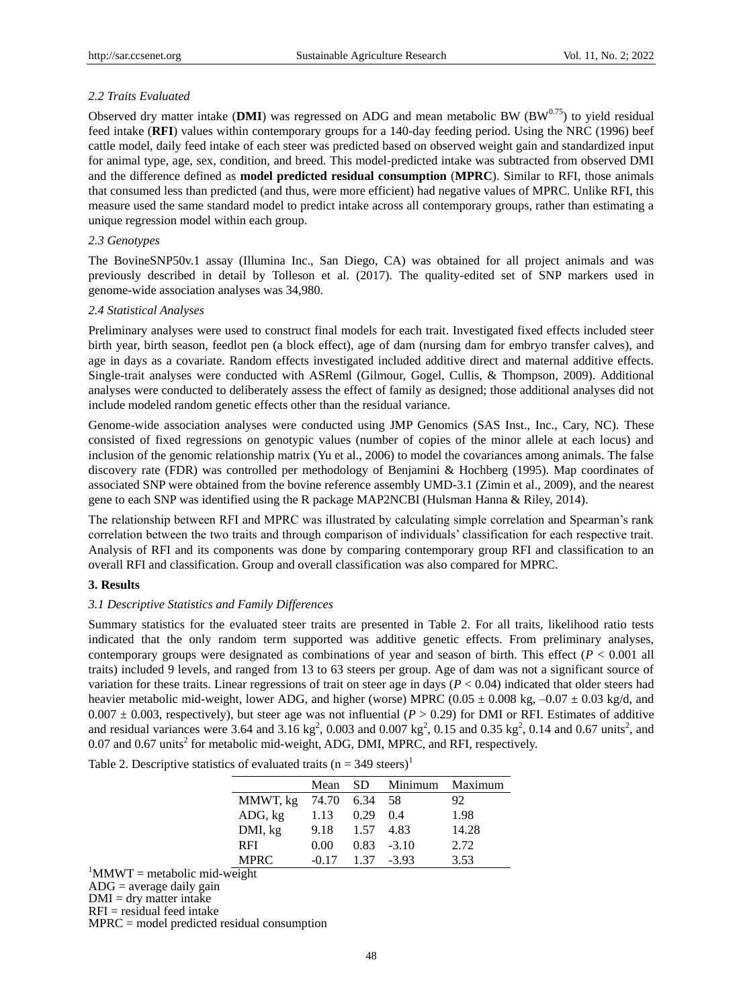## *2.2 Traits Evaluated*

Observed dry matter intake (DMI) was regressed on ADG and mean metabolic BW  $(BW^{0.75})$  to yield residual feed intake (**RFI**) values within contemporary groups for a 140-day feeding period. Using the NRC (1996) beef cattle model, daily feed intake of each steer was predicted based on observed weight gain and standardized input for animal type, age, sex, condition, and breed. This model-predicted intake was subtracted from observed DMI and the difference defined as **model predicted residual consumption** (**MPRC**). Similar to RFI, those animals that consumed less than predicted (and thus, were more efficient) had negative values of MPRC. Unlike RFI, this measure used the same standard model to predict intake across all contemporary groups, rather than estimating a unique regression model within each group.

## *2.3 Genotypes*

The BovineSNP50v.1 assay (Illumina Inc., San Diego, CA) was obtained for all project animals and was previously described in detail by Tolleson et al. (2017). The quality-edited set of SNP markers used in genome-wide association analyses was 34,980.

#### *2.4 Statistical Analyses*

Preliminary analyses were used to construct final models for each trait. Investigated fixed effects included steer birth year, birth season, feedlot pen (a block effect), age of dam (nursing dam for embryo transfer calves), and age in days as a covariate. Random effects investigated included additive direct and maternal additive effects. Single-trait analyses were conducted with ASReml (Gilmour, Gogel, Cullis, & Thompson, 2009). Additional analyses were conducted to deliberately assess the effect of family as designed; those additional analyses did not include modeled random genetic effects other than the residual variance.

Genome-wide association analyses were conducted using JMP Genomics (SAS Inst., Inc., Cary, NC). These consisted of fixed regressions on genotypic values (number of copies of the minor allele at each locus) and inclusion of the genomic relationship matrix (Yu et al., 2006) to model the covariances among animals. The false discovery rate (FDR) was controlled per methodology of Benjamini & Hochberg (1995). Map coordinates of associated SNP were obtained from the bovine reference assembly UMD-3.1 (Zimin et al., 2009), and the nearest gene to each SNP was identified using the R package MAP2NCBI (Hulsman Hanna & Riley, 2014).

The relationship between RFI and MPRC was illustrated by calculating simple correlation and Spearman's rank correlation between the two traits and through comparison of individuals' classification for each respective trait. Analysis of RFI and its components was done by comparing contemporary group RFI and classification to an overall RFI and classification. Group and overall classification was also compared for MPRC.

## **3. Results**

## *3.1 Descriptive Statistics and Family Differences*

Summary statistics for the evaluated steer traits are presented in Table 2. For all traits, likelihood ratio tests indicated that the only random term supported was additive genetic effects. From preliminary analyses, contemporary groups were designated as combinations of year and season of birth. This effect (*P* < 0.001 all traits) included 9 levels, and ranged from 13 to 63 steers per group. Age of dam was not a significant source of variation for these traits. Linear regressions of trait on steer age in days  $(P < 0.04)$  indicated that older steers had heavier metabolic mid-weight, lower ADG, and higher (worse) MPRC (0.05  $\pm$  0.008 kg, –0.07  $\pm$  0.03 kg/d, and 0.007  $\pm$  0.003, respectively), but steer age was not influential ( $P > 0.29$ ) for DMI or RFI. Estimates of additive and residual variances were 3.64 and 3.16 kg<sup>2</sup>, 0.003 and 0.007 kg<sup>2</sup>, 0.15 and 0.35 kg<sup>2</sup>, 0.14 and 0.67 units<sup>2</sup>, and  $0.07$  and  $0.67$  units<sup>2</sup> for metabolic mid-weight, ADG, DMI, MPRC, and RFI, respectively.

Table 2. Descriptive statistics of evaluated traits ( $n = 349$  steers)<sup>1</sup>

|             | Mean          |      | SD Minimum Maximum |       |
|-------------|---------------|------|--------------------|-------|
| MMWT, kg    | 74.70 6.34 58 |      |                    | 92    |
| ADG, kg     | 1.13          | 0.29 | 0.4                | 1.98  |
| DMI, kg     | 9.18          | 1.57 | 4.83               | 14.28 |
| <b>RFI</b>  | 0.00          |      | $0.83 - 3.10$      | 2.72  |
| <b>MPRC</b> | $-0.17$       |      | $1.37 - 3.93$      | 3.53  |

 ${}^{1}$ MMWT = metabolic mid-weight

 $ADG = average daily gain$ 

 $DMI = dry$  matter intake  $RFI = residual feed intake$ 

MPRC = model predicted residual consumption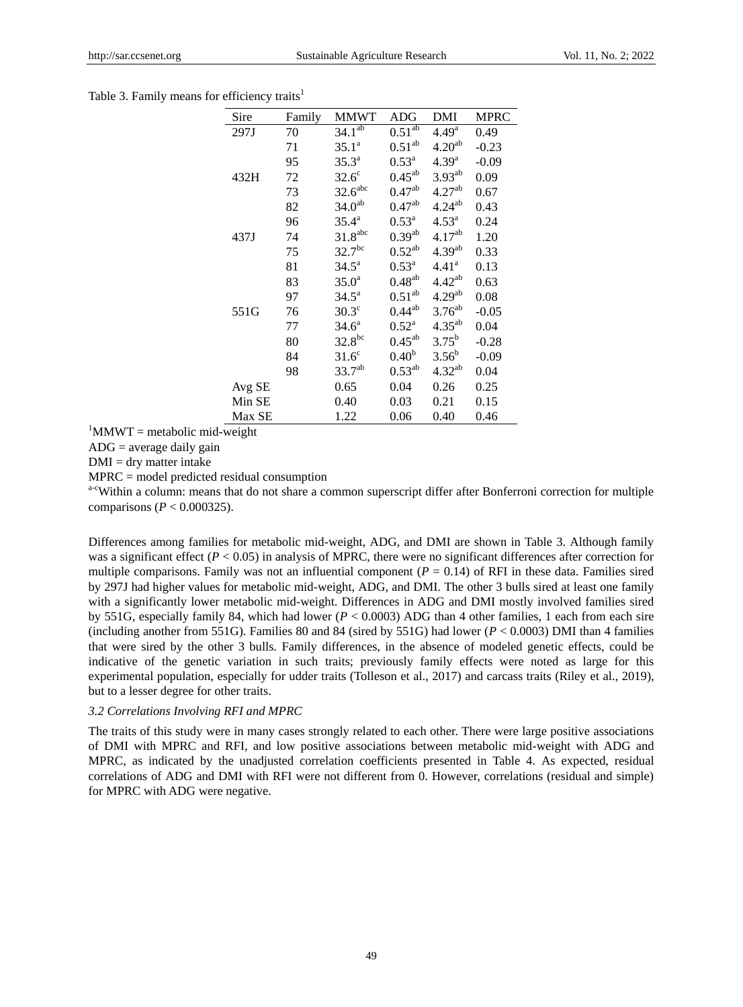## Table 3. Family means for efficiency traits<sup>1</sup>

| Sire   | Family | MMWT                  | ADG                | DMI                | <b>MPRC</b> |
|--------|--------|-----------------------|--------------------|--------------------|-------------|
| 297J   | 70     | 34.1 <sup>ab</sup>    | 0.51 <sup>ab</sup> | 4.49 <sup>a</sup>  | 0.49        |
|        | 71     | $35.1^{\circ}$        | $0.51^{ab}$        | 4.20 <sup>ab</sup> | $-0.23$     |
|        | 95     | $35.3^{\circ}$        | $0.53^{\rm a}$     | $4.39^{a}$         | $-0.09$     |
| 432H   | 72     | $32.6^\circ$          | $0.45^{ab}$        | $3.93^{ab}$        | 0.09        |
|        | 73     | 32.6 <sup>abc</sup>   | $0.47^{ab}$        | 4.27 <sup>ab</sup> | 0.67        |
|        | 82     | 34.0 <sup>ab</sup>    | $0.47^{ab}$        | $4.24^{ab}$        | 0.43        |
|        | 96     | $35.4^{\circ}$        | $0.53^{\rm a}$     | $4.53^{\rm a}$     | 0.24        |
| 437J   | 74     | $31.8$ <sup>abc</sup> | $0.39^{ab}$        | $4.17^{ab}$        | 1.20        |
|        | 75     | 32.7 <sup>bc</sup>    | $0.52^{ab}$        | 4.39 <sup>ab</sup> | 0.33        |
|        | 81     | $34.5^{\rm a}$        | $0.53^{\rm a}$     | $4.41^{\rm a}$     | 0.13        |
|        | 83     | 35.0 <sup>a</sup>     | $0.48^{ab}$        | $4.42^{ab}$        | 0.63        |
|        | 97     | $34.5^{\circ}$        | $0.51^{ab}$        | 4.29 <sup>ab</sup> | 0.08        |
| 551G   | 76     | $30.3^\circ$          | $0.44^{ab}$        | $3.76^{ab}$        | $-0.05$     |
|        | 77     | $34.6^a$              | $0.52^{\rm a}$     | $4.35^{ab}$        | 0.04        |
|        | 80     | $32.8^{bc}$           | $0.45^{ab}$        | $3.75^{b}$         | $-0.28$     |
|        | 84     | $31.6^\circ$          | 0.40 <sup>b</sup>  | $3.56^b$           | $-0.09$     |
|        | 98     | $33.7^{ab}$           | $0.53^{ab}$        | $4.32^{ab}$        | 0.04        |
| Avg SE |        | 0.65                  | 0.04               | 0.26               | 0.25        |
| Min SE |        | 0.40                  | 0.03               | 0.21               | 0.15        |
| Max SE |        | 1.22                  | 0.06               | 0.40               | 0.46        |

 ${}^{1}$ MMWT = metabolic mid-weight

 $ADG = average daily gain$ 

 $DMI = dry$  matter intake

MPRC = model predicted residual consumption

a<sup>-c</sup>Within a column: means that do not share a common superscript differ after Bonferroni correction for multiple comparisons (*P* < 0.000325).

Differences among families for metabolic mid-weight, ADG, and DMI are shown in Table 3. Although family was a significant effect  $(P < 0.05)$  in analysis of MPRC, there were no significant differences after correction for multiple comparisons. Family was not an influential component  $(P = 0.14)$  of RFI in these data. Families sired by 297J had higher values for metabolic mid-weight, ADG, and DMI. The other 3 bulls sired at least one family with a significantly lower metabolic mid-weight. Differences in ADG and DMI mostly involved families sired by 551G, especially family 84, which had lower (*P* < 0.0003) ADG than 4 other families, 1 each from each sire (including another from 551G). Families 80 and 84 (sired by 551G) had lower  $(P < 0.0003)$  DMI than 4 families that were sired by the other 3 bulls. Family differences, in the absence of modeled genetic effects, could be indicative of the genetic variation in such traits; previously family effects were noted as large for this experimental population, especially for udder traits (Tolleson et al., 2017) and carcass traits (Riley et al., 2019), but to a lesser degree for other traits.

#### *3.2 Correlations Involving RFI and MPRC*

The traits of this study were in many cases strongly related to each other. There were large positive associations of DMI with MPRC and RFI, and low positive associations between metabolic mid-weight with ADG and MPRC, as indicated by the unadjusted correlation coefficients presented in Table 4. As expected, residual correlations of ADG and DMI with RFI were not different from 0. However, correlations (residual and simple) for MPRC with ADG were negative.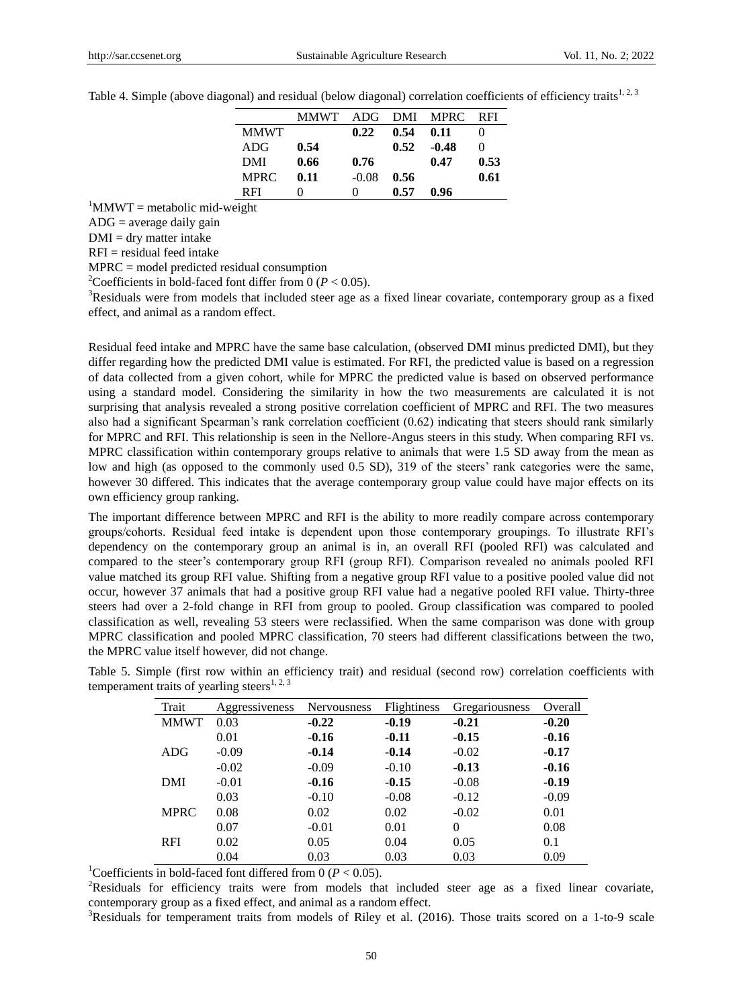|  |  |  | Table 4. Simple (above diagonal) and residual (below diagonal) correlation coefficients of efficiency traits <sup>1,2,3</sup> |  |
|--|--|--|-------------------------------------------------------------------------------------------------------------------------------|--|
|  |  |  |                                                                                                                               |  |

|             | <b>MMWT</b> | ADG               | DMI  | <b>MPRC</b> | RFI  |
|-------------|-------------|-------------------|------|-------------|------|
| <b>MMWT</b> |             | 0.22              | 0.54 | 0.11        |      |
| ADG         | 0.54        |                   | 0.52 | $-0.48$     | 0    |
| DMI         | 0.66        | 0.76              |      | 0.47        | 0.53 |
| <b>MPRC</b> | 0.11        | $-0.08$           | 0.56 |             | 0.61 |
| <b>RFI</b>  | 0           | $\mathbf{\Omega}$ | 0.57 | 0.96        |      |

 ${}^{1}$ MMWT = metabolic mid-weight

 $ADG = average daily gain$ 

 $DMI = dry$  matter intake

 $RFI = residual feed intake$ 

MPRC = model predicted residual consumption

<sup>2</sup>Coefficients in bold-faced font differ from 0 ( $P < 0.05$ ).

<sup>3</sup>Residuals were from models that included steer age as a fixed linear covariate, contemporary group as a fixed effect, and animal as a random effect.

Residual feed intake and MPRC have the same base calculation, (observed DMI minus predicted DMI), but they differ regarding how the predicted DMI value is estimated. For RFI, the predicted value is based on a regression of data collected from a given cohort, while for MPRC the predicted value is based on observed performance using a standard model. Considering the similarity in how the two measurements are calculated it is not surprising that analysis revealed a strong positive correlation coefficient of MPRC and RFI. The two measures also had a significant Spearman's rank correlation coefficient (0.62) indicating that steers should rank similarly for MPRC and RFI. This relationship is seen in the Nellore-Angus steers in this study. When comparing RFI vs. MPRC classification within contemporary groups relative to animals that were 1.5 SD away from the mean as low and high (as opposed to the commonly used 0.5 SD), 319 of the steers' rank categories were the same, however 30 differed. This indicates that the average contemporary group value could have major effects on its own efficiency group ranking.

The important difference between MPRC and RFI is the ability to more readily compare across contemporary groups/cohorts. Residual feed intake is dependent upon those contemporary groupings. To illustrate RFI's dependency on the contemporary group an animal is in, an overall RFI (pooled RFI) was calculated and compared to the steer's contemporary group RFI (group RFI). Comparison revealed no animals pooled RFI value matched its group RFI value. Shifting from a negative group RFI value to a positive pooled value did not occur, however 37 animals that had a positive group RFI value had a negative pooled RFI value. Thirty-three steers had over a 2-fold change in RFI from group to pooled. Group classification was compared to pooled classification as well, revealing 53 steers were reclassified. When the same comparison was done with group MPRC classification and pooled MPRC classification, 70 steers had different classifications between the two, the MPRC value itself however, did not change.

Table 5. Simple (first row within an efficiency trait) and residual (second row) correlation coefficients with temperament traits of yearling steers<sup>1, 2, 3</sup>

| Trait       | Aggressiveness | <b>Nervousness</b> | <b>Flightiness</b> | Gregariousness | Overall |
|-------------|----------------|--------------------|--------------------|----------------|---------|
| <b>MMWT</b> | 0.03           | $-0.22$            | $-0.19$            | $-0.21$        | $-0.20$ |
|             | 0.01           | $-0.16$            | $-0.11$            | $-0.15$        | $-0.16$ |
| ADG         | $-0.09$        | $-0.14$            | $-0.14$            | $-0.02$        | $-0.17$ |
|             | $-0.02$        | $-0.09$            | $-0.10$            | $-0.13$        | $-0.16$ |
| DMI         | $-0.01$        | $-0.16$            | $-0.15$            | $-0.08$        | $-0.19$ |
|             | 0.03           | $-0.10$            | $-0.08$            | $-0.12$        | $-0.09$ |
| <b>MPRC</b> | 0.08           | 0.02               | 0.02               | $-0.02$        | 0.01    |
|             | 0.07           | $-0.01$            | 0.01               | $\Omega$       | 0.08    |
| <b>RFI</b>  | 0.02           | 0.05               | 0.04               | 0.05           | 0.1     |
|             | 0.04           | 0.03               | 0.03               | 0.03           | 0.09    |

<sup>1</sup>Coefficients in bold-faced font differed from 0 ( $P < 0.05$ ).

<sup>2</sup>Residuals for efficiency traits were from models that included steer age as a fixed linear covariate, contemporary group as a fixed effect, and animal as a random effect.

<sup>3</sup>Residuals for temperament traits from models of Riley et al. (2016). Those traits scored on a 1-to-9 scale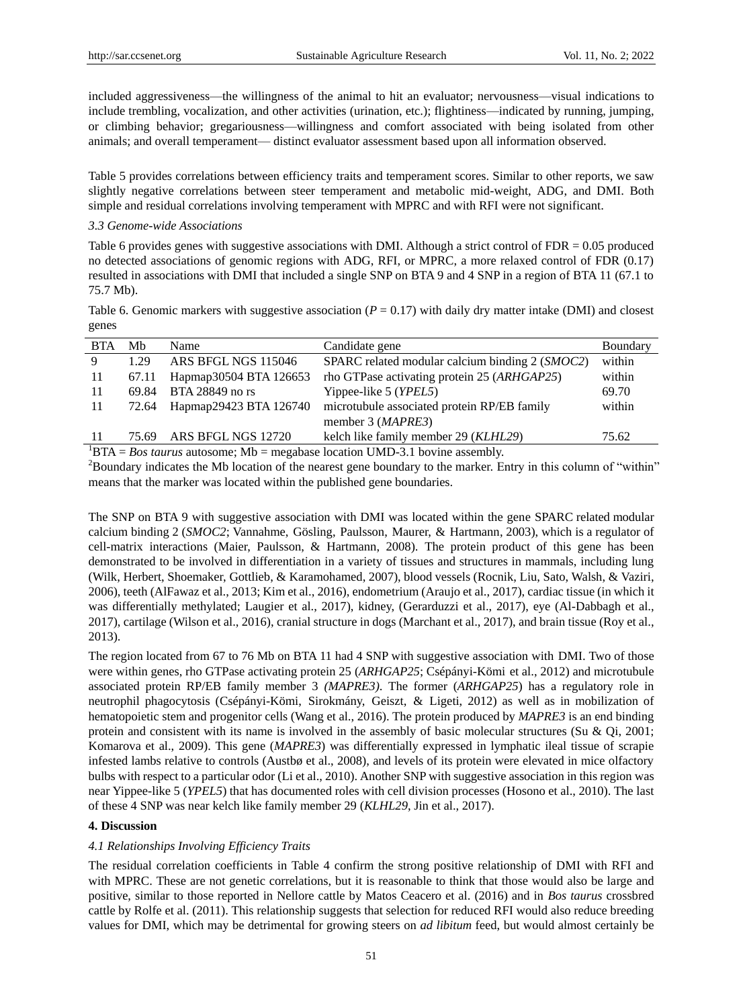included aggressiveness—the willingness of the animal to hit an evaluator; nervousness—visual indications to include trembling, vocalization, and other activities (urination, etc.); flightiness—indicated by running, jumping, or climbing behavior; gregariousness—willingness and comfort associated with being isolated from other animals; and overall temperament— distinct evaluator assessment based upon all information observed.

Table 5 provides correlations between efficiency traits and temperament scores. Similar to other reports, we saw slightly negative correlations between steer temperament and metabolic mid-weight, ADG, and DMI. Both simple and residual correlations involving temperament with MPRC and with RFI were not significant.

### *3.3 Genome-wide Associations*

Table 6 provides genes with suggestive associations with DMI. Although a strict control of FDR = 0.05 produced no detected associations of genomic regions with ADG, RFI, or MPRC, a more relaxed control of FDR (0.17) resulted in associations with DMI that included a single SNP on BTA 9 and 4 SNP in a region of BTA 11 (67.1 to 75.7 Mb).

Table 6. Genomic markers with suggestive association  $(P = 0.17)$  with daily dry matter intake (DMI) and closest genes

| <b>BTA</b> | Mb    | Name                         | Candidate gene                                  | Boundary |
|------------|-------|------------------------------|-------------------------------------------------|----------|
| 9          | 1 29  | ARS BFGL NGS 115046          | SPARC related modular calcium binding 2 (SMOC2) | within   |
| -11        | 67.11 | Hapmap30504 BTA 126653       | rho GTPase activating protein 25 (ARHGAP25)     | within   |
| -11        | 69.84 | BTA 28849 no rs              | Yippee-like 5 (YPEL5)                           | 69.70    |
| -11        |       | 72.64 Hapmap29423 BTA 126740 | microtubule associated protein RP/EB family     | within   |
|            |       |                              | member 3 (MAPRE3)                               |          |
| -11        | 75.69 | ARS BFGL NGS 12720           | kelch like family member 29 (KLHL29)            | 75.62    |

 ${}^{1}BTA = Bos \; taurus \; autosome; Mb = megabase \; location \; UMD-3.1 \; bovine \; assembly.$ 

 $2B$ oundary indicates the Mb location of the nearest gene boundary to the marker. Entry in this column of "within" means that the marker was located within the published gene boundaries.

The SNP on BTA 9 with suggestive association with DMI was located within the gene SPARC related modular calcium binding 2 (*SMOC2*; Vannahme, Gösling, Paulsson, Maurer, & Hartmann, 2003), which is a regulator of cell-matrix interactions (Maier, Paulsson, & Hartmann, 2008). The protein product of this gene has been demonstrated to be involved in differentiation in a variety of tissues and structures in mammals, including lung (Wilk, Herbert, Shoemaker, Gottlieb, & Karamohamed, 2007), blood vessels (Rocnik, Liu, Sato, Walsh, & Vaziri, 2006), teeth (AlFawaz et al., 2013; Kim et al., 2016), endometrium (Araujo et al., 2017), cardiac tissue (in which it was differentially methylated; Laugier et al., 2017), kidney, (Gerarduzzi et al., 2017), eye (Al-Dabbagh et al., 2017), cartilage (Wilson et al., 2016), cranial structure in dogs (Marchant et al., 2017), and brain tissue (Roy et al., 2013).

The region located from 67 to 76 Mb on BTA 11 had 4 SNP with suggestive association with DMI. Two of those were within genes, rho GTPase activating protein 25 (*ARHGAP25*; Csépányi-Kömi et al., 2012) and microtubule associated protein RP/EB family member 3 *(MAPRE3)*. The former (*ARHGAP25*) has a regulatory role in neutrophil phagocytosis (Csépányi-Kömi, Sirokmány, Geiszt, & Ligeti, 2012) as well as in mobilization of hematopoietic stem and progenitor cells (Wang et al., 2016). The protein produced by *MAPRE3* is an end binding protein and consistent with its name is involved in the assembly of basic molecular structures (Su & Qi, 2001; Komarova et al., 2009). This gene (*MAPRE3*) was differentially expressed in lymphatic ileal tissue of scrapie infested lambs relative to controls (Austbø et al., 2008), and levels of its protein were elevated in mice olfactory bulbs with respect to a particular odor (Li et al., 2010). Another SNP with suggestive association in this region was near Yippee-like 5 (*YPEL5*) that has documented roles with cell division processes (Hosono et al., 2010). The last of these 4 SNP was near kelch like family member 29 (*KLHL29*, Jin et al., 2017).

## **4. Discussion**

## *4.1 Relationships Involving Efficiency Traits*

The residual correlation coefficients in Table 4 confirm the strong positive relationship of DMI with RFI and with MPRC. These are not genetic correlations, but it is reasonable to think that those would also be large and positive, similar to those reported in Nellore cattle by Matos Ceacero et al. (2016) and in *Bos taurus* crossbred cattle by Rolfe et al. (2011). This relationship suggests that selection for reduced RFI would also reduce breeding values for DMI, which may be detrimental for growing steers on *ad libitum* feed, but would almost certainly be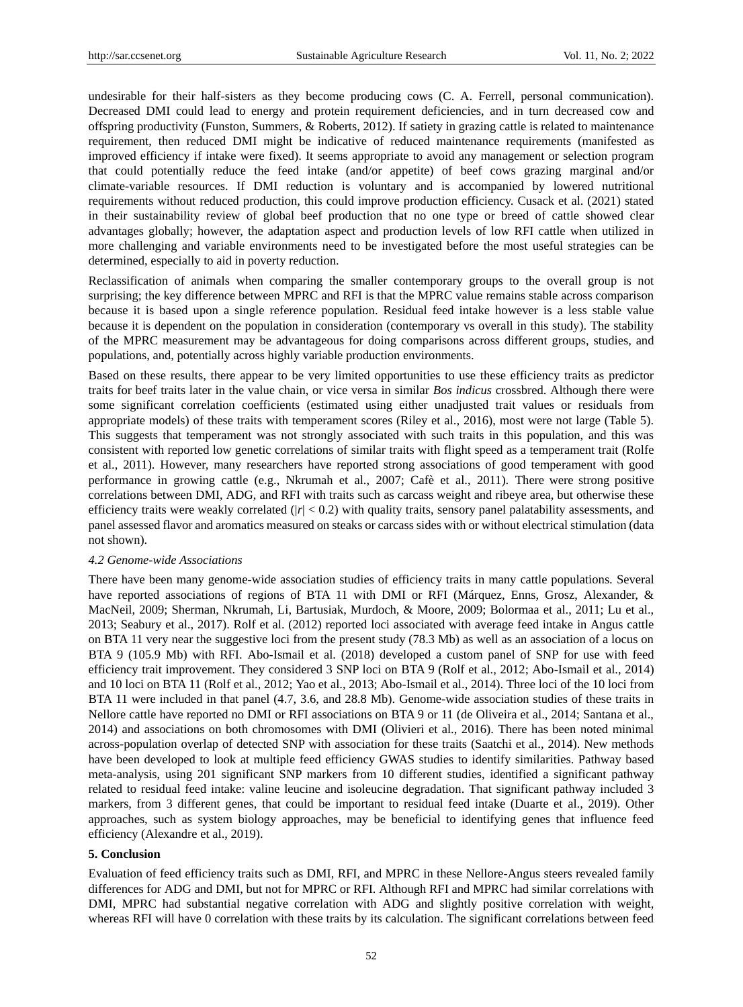undesirable for their half-sisters as they become producing cows (C. A. Ferrell, personal communication). Decreased DMI could lead to energy and protein requirement deficiencies, and in turn decreased cow and offspring productivity (Funston, Summers, & Roberts, 2012). If satiety in grazing cattle is related to maintenance requirement, then reduced DMI might be indicative of reduced maintenance requirements (manifested as improved efficiency if intake were fixed). It seems appropriate to avoid any management or selection program that could potentially reduce the feed intake (and/or appetite) of beef cows grazing marginal and/or climate-variable resources. If DMI reduction is voluntary and is accompanied by lowered nutritional requirements without reduced production, this could improve production efficiency. Cusack et al. (2021) stated in their sustainability review of global beef production that no one type or breed of cattle showed clear advantages globally; however, the adaptation aspect and production levels of low RFI cattle when utilized in more challenging and variable environments need to be investigated before the most useful strategies can be determined, especially to aid in poverty reduction.

Reclassification of animals when comparing the smaller contemporary groups to the overall group is not surprising; the key difference between MPRC and RFI is that the MPRC value remains stable across comparison because it is based upon a single reference population. Residual feed intake however is a less stable value because it is dependent on the population in consideration (contemporary vs overall in this study). The stability of the MPRC measurement may be advantageous for doing comparisons across different groups, studies, and populations, and, potentially across highly variable production environments.

Based on these results, there appear to be very limited opportunities to use these efficiency traits as predictor traits for beef traits later in the value chain, or vice versa in similar *Bos indicus* crossbred. Although there were some significant correlation coefficients (estimated using either unadjusted trait values or residuals from appropriate models) of these traits with temperament scores (Riley et al., 2016), most were not large (Table 5). This suggests that temperament was not strongly associated with such traits in this population, and this was consistent with reported low genetic correlations of similar traits with flight speed as a temperament trait (Rolfe et al., 2011). However, many researchers have reported strong associations of good temperament with good performance in growing cattle (e.g., Nkrumah et al., 2007; Cafè et al., 2011). There were strong positive correlations between DMI, ADG, and RFI with traits such as carcass weight and ribeye area, but otherwise these efficiency traits were weakly correlated  $(|r| < 0.2)$  with quality traits, sensory panel palatability assessments, and panel assessed flavor and aromatics measured on steaks or carcass sides with or without electrical stimulation (data not shown).

#### *4.2 Genome-wide Associations*

There have been many genome-wide association studies of efficiency traits in many cattle populations. Several have reported associations of regions of BTA 11 with DMI or RFI (Márquez, Enns, Grosz, Alexander, & MacNeil, 2009; Sherman, Nkrumah, Li, Bartusiak, Murdoch, & Moore, 2009; Bolormaa et al., 2011; Lu et al., 2013; Seabury et al., 2017). Rolf et al. (2012) reported loci associated with average feed intake in Angus cattle on BTA 11 very near the suggestive loci from the present study (78.3 Mb) as well as an association of a locus on BTA 9 (105.9 Mb) with RFI. Abo-Ismail et al. (2018) developed a custom panel of SNP for use with feed efficiency trait improvement. They considered 3 SNP loci on BTA 9 (Rolf et al., 2012; Abo-Ismail et al., 2014) and 10 loci on BTA 11 (Rolf et al., 2012; Yao et al., 2013; Abo-Ismail et al., 2014). Three loci of the 10 loci from BTA 11 were included in that panel (4.7, 3.6, and 28.8 Mb). Genome-wide association studies of these traits in Nellore cattle have reported no DMI or RFI associations on BTA 9 or 11 (de Oliveira et al., 2014; Santana et al., 2014) and associations on both chromosomes with DMI (Olivieri et al., 2016). There has been noted minimal across-population overlap of detected SNP with association for these traits (Saatchi et al., 2014). New methods have been developed to look at multiple feed efficiency GWAS studies to identify similarities. Pathway based meta-analysis, using 201 significant SNP markers from 10 different studies, identified a significant pathway related to residual feed intake: valine leucine and isoleucine degradation. That significant pathway included 3 markers, from 3 different genes, that could be important to residual feed intake (Duarte et al., 2019). Other approaches, such as system biology approaches, may be beneficial to identifying genes that influence feed efficiency (Alexandre et al., 2019).

#### **5. Conclusion**

Evaluation of feed efficiency traits such as DMI, RFI, and MPRC in these Nellore-Angus steers revealed family differences for ADG and DMI, but not for MPRC or RFI. Although RFI and MPRC had similar correlations with DMI, MPRC had substantial negative correlation with ADG and slightly positive correlation with weight, whereas RFI will have 0 correlation with these traits by its calculation. The significant correlations between feed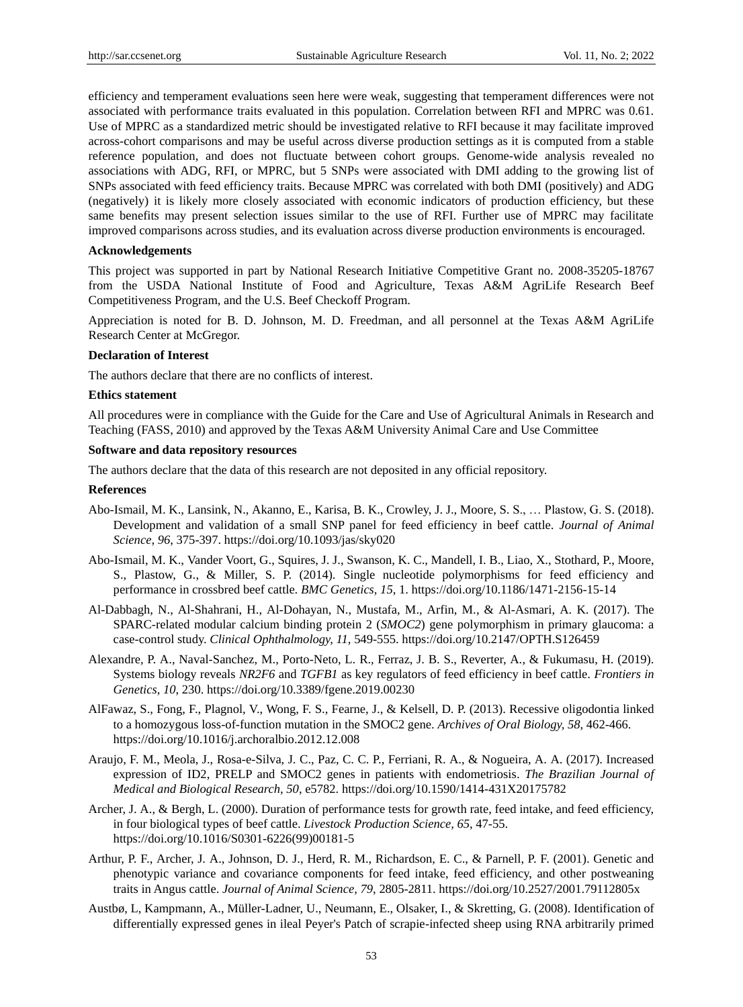efficiency and temperament evaluations seen here were weak, suggesting that temperament differences were not associated with performance traits evaluated in this population. Correlation between RFI and MPRC was 0.61. Use of MPRC as a standardized metric should be investigated relative to RFI because it may facilitate improved across-cohort comparisons and may be useful across diverse production settings as it is computed from a stable reference population, and does not fluctuate between cohort groups. Genome-wide analysis revealed no associations with ADG, RFI, or MPRC, but 5 SNPs were associated with DMI adding to the growing list of SNPs associated with feed efficiency traits. Because MPRC was correlated with both DMI (positively) and ADG (negatively) it is likely more closely associated with economic indicators of production efficiency, but these same benefits may present selection issues similar to the use of RFI. Further use of MPRC may facilitate improved comparisons across studies, and its evaluation across diverse production environments is encouraged.

#### **Acknowledgements**

This project was supported in part by National Research Initiative Competitive Grant no. 2008-35205-18767 from the USDA National Institute of Food and Agriculture, Texas A&M AgriLife Research Beef Competitiveness Program, and the U.S. Beef Checkoff Program.

Appreciation is noted for B. D. Johnson, M. D. Freedman, and all personnel at the Texas A&M AgriLife Research Center at McGregor.

## **Declaration of Interest**

The authors declare that there are no conflicts of interest.

## **Ethics statement**

All procedures were in compliance with the Guide for the Care and Use of Agricultural Animals in Research and Teaching (FASS, 2010) and approved by the Texas A&M University Animal Care and Use Committee

#### **Software and data repository resources**

The authors declare that the data of this research are not deposited in any official repository.

#### **References**

- Abo-Ismail, M. K., Lansink, N., Akanno, E., Karisa, B. K., Crowley, J. J., Moore, S. S., … Plastow, G. S. (2018). Development and validation of a small SNP panel for feed efficiency in beef cattle. *Journal of Animal Science, 96*, 375-397. https://doi.org/10.1093/jas/sky020
- Abo-Ismail, M. K., Vander Voort, G., Squires, J. J., Swanson, K. C., Mandell, I. B., Liao, X., Stothard, P., Moore, S., Plastow, G., & Miller, S. P. (2014). Single nucleotide polymorphisms for feed efficiency and performance in crossbred beef cattle. *BMC Genetics, 15*, 1. https://doi.org/10.1186/1471-2156-15-14
- Al-Dabbagh, N., Al-Shahrani, H., Al-Dohayan, N., Mustafa, M., Arfin, M., & Al-Asmari, A. K. (2017). The SPARC-related modular calcium binding protein 2 (*SMOC2*) gene polymorphism in primary glaucoma: a case-control study. *Clinical Ophthalmology, 11*, 549-555. https://doi.org/10.2147/OPTH.S126459
- Alexandre, P. A., Naval-Sanchez, M., Porto-Neto, L. R., Ferraz, J. B. S., Reverter, A., & Fukumasu, H. (2019). Systems biology reveals *NR2F6* and *TGFB1* as key regulators of feed efficiency in beef cattle. *Frontiers in Genetics, 10*, 230. https://doi.org/10.3389/fgene.2019.00230
- AlFawaz, S., Fong, F., Plagnol, V., Wong, F. S., Fearne, J., & Kelsell, D. P. (2013). Recessive oligodontia linked to a homozygous loss-of-function mutation in the SMOC2 gene. *Archives of Oral Biology, 58*, 462-466. https://doi.org/10.1016/j.archoralbio.2012.12.008
- Araujo, F. M., Meola, J., Rosa-e-Silva, J. C., Paz, C. C. P., Ferriani, R. A., & Nogueira, A. A. (2017). Increased expression of ID2, PRELP and SMOC2 genes in patients with endometriosis. *The Brazilian Journal of Medical and Biological Research, 50*, e5782. https://doi.org/10.1590/1414-431X20175782
- Archer, J. A., & Bergh, L. (2000). Duration of performance tests for growth rate, feed intake, and feed efficiency, in four biological types of beef cattle. *Livestock Production Science, 65*, 47-55. https://doi.org/10.1016/S0301-6226(99)00181-5
- Arthur, P. F., Archer, J. A., Johnson, D. J., Herd, R. M., Richardson, E. C., & Parnell, P. F. (2001). Genetic and phenotypic variance and covariance components for feed intake, feed efficiency, and other postweaning traits in Angus cattle. *Journal of Animal Science, 79*, 2805-2811. https://doi.org/10.2527/2001.79112805x
- Austbø, L, Kampmann, A., Müller-Ladner, U., Neumann, E., Olsaker, I., & Skretting, G. (2008). Identification of differentially expressed genes in ileal Peyer's Patch of scrapie-infected sheep using RNA arbitrarily primed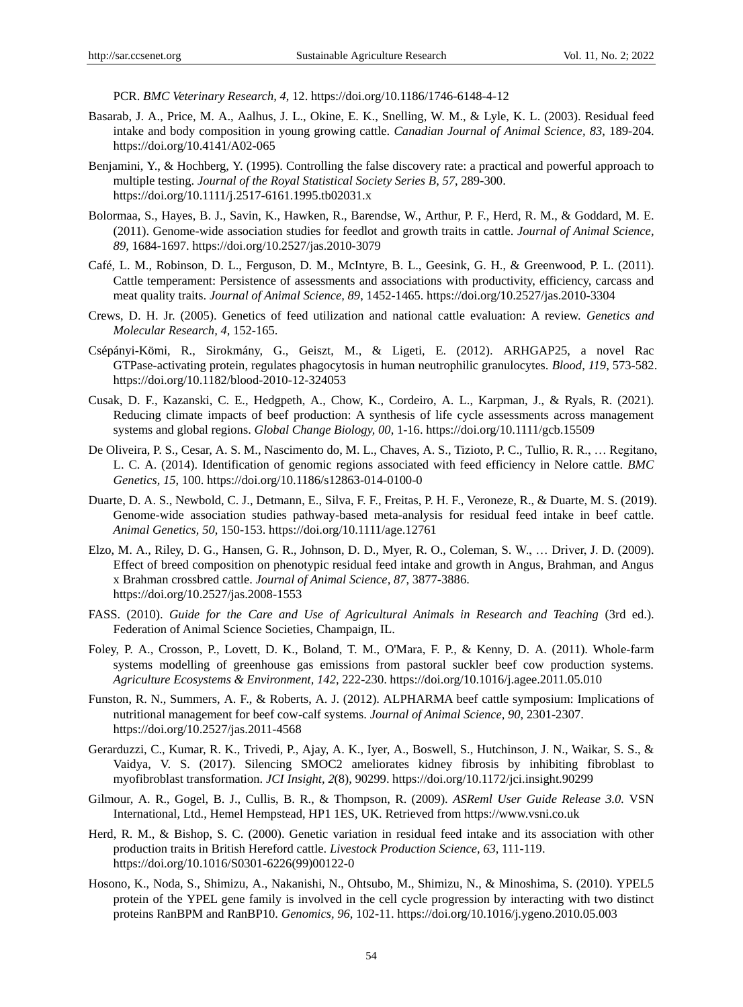PCR. *BMC Veterinary Research, 4*, 12. https://doi.org/10.1186/1746-6148-4-12

- Basarab, J. A., Price, M. A., Aalhus, J. L., Okine, E. K., Snelling, W. M., & Lyle, K. L. (2003). Residual feed intake and body composition in young growing cattle. *Canadian Journal of Animal Science, 83*, 189-204. https://doi.org/10.4141/A02-065
- Benjamini, Y., & Hochberg, Y. (1995). Controlling the false discovery rate: a practical and powerful approach to multiple testing. *Journal of the Royal Statistical Society Series B, 57*, 289-300. https://doi.org/10.1111/j.2517-6161.1995.tb02031.x
- Bolormaa, S., Hayes, B. J., Savin, K., Hawken, R., Barendse, W., Arthur, P. F., Herd, R. M., & Goddard, M. E. (2011). Genome-wide association studies for feedlot and growth traits in cattle. *Journal of Animal Science, 89*, 1684-1697. https://doi.org/10.2527/jas.2010-3079
- Café, L. M., Robinson, D. L., Ferguson, D. M., McIntyre, B. L., Geesink, G. H., & Greenwood, P. L. (2011). Cattle temperament: Persistence of assessments and associations with productivity, efficiency, carcass and meat quality traits. *Journal of Animal Science, 89*, 1452-1465. https://doi.org/10.2527/jas.2010-3304
- Crews, D. H. Jr. (2005). Genetics of feed utilization and national cattle evaluation: A review. *Genetics and Molecular Research, 4*, 152-165.
- Csépányi-Kömi, R., Sirokmány, G., Geiszt, M., & Ligeti, E. (2012). ARHGAP25, a novel Rac GTPase-activating protein, regulates phagocytosis in human neutrophilic granulocytes. *Blood, 119*, 573-582. https://doi.org/10.1182/blood-2010-12-324053
- Cusak, D. F., Kazanski, C. E., Hedgpeth, A., Chow, K., Cordeiro, A. L., Karpman, J., & Ryals, R. (2021). Reducing climate impacts of beef production: A synthesis of life cycle assessments across management systems and global regions. *Global Change Biology, 00*, 1-16. https://doi.org/10.1111/gcb.15509
- De Oliveira, P. S., Cesar, A. S. M., Nascimento do, M. L., Chaves, A. S., Tizioto, P. C., Tullio, R. R., … Regitano, L. C. A. (2014). Identification of genomic regions associated with feed efficiency in Nelore cattle. *BMC Genetics, 15*, 100. https://doi.org/10.1186/s12863-014-0100-0
- Duarte, D. A. S., Newbold, C. J., Detmann, E., Silva, F. F., Freitas, P. H. F., Veroneze, R., & Duarte, M. S. (2019). Genome-wide association studies pathway-based meta-analysis for residual feed intake in beef cattle. *Animal Genetics, 50*, 150-153. https://doi.org/10.1111/age.12761
- Elzo, M. A., Riley, D. G., Hansen, G. R., Johnson, D. D., Myer, R. O., Coleman, S. W., … Driver, J. D. (2009). Effect of breed composition on phenotypic residual feed intake and growth in Angus, Brahman, and Angus x Brahman crossbred cattle. *Journal of Animal Science, 87*, 3877-3886. https://doi.org/10.2527/jas.2008-1553
- FASS. (2010). *Guide for the Care and Use of Agricultural Animals in Research and Teaching* (3rd ed.). Federation of Animal Science Societies, Champaign, IL.
- Foley, P. A., Crosson, P., Lovett, D. K., Boland, T. M., O'Mara, F. P., & Kenny, D. A. (2011). Whole-farm systems modelling of greenhouse gas emissions from pastoral suckler beef cow production systems. *Agriculture Ecosystems & Environment, 142*, 222-230. https://doi.org/10.1016/j.agee.2011.05.010
- Funston, R. N., Summers, A. F., & Roberts, A. J. (2012). ALPHARMA beef cattle symposium: Implications of nutritional management for beef cow-calf systems. *Journal of Animal Science, 90*, 2301-2307. https://doi.org/10.2527/jas.2011-4568
- Gerarduzzi, C., Kumar, R. K., Trivedi, P., Ajay, A. K., Iyer, A., Boswell, S., Hutchinson, J. N., Waikar, S. S., & Vaidya, V. S. (2017). Silencing SMOC2 ameliorates kidney fibrosis by inhibiting fibroblast to myofibroblast transformation. *JCI Insight, 2*(8), 90299. https://doi.org/10.1172/jci.insight.90299
- Gilmour, A. R., Gogel, B. J., Cullis, B. R., & Thompson, R. (2009). *ASReml User Guide Release 3.0.* VSN International, Ltd., Hemel Hempstead, HP1 1ES, UK. Retrieved from https://www.vsni.co.uk
- Herd, R. M., & Bishop, S. C. (2000). Genetic variation in residual feed intake and its association with other production traits in British Hereford cattle. *Livestock Production Science, 63*, 111-119. https://doi.org/10.1016/S0301-6226(99)00122-0
- Hosono, K., Noda, S., Shimizu, A., Nakanishi, N., Ohtsubo, M., Shimizu, N., & Minoshima, S. (2010). YPEL5 protein of the YPEL gene family is involved in the cell cycle progression by interacting with two distinct proteins RanBPM and RanBP10. *Genomics, 96*, 102-11. https://doi.org/10.1016/j.ygeno.2010.05.003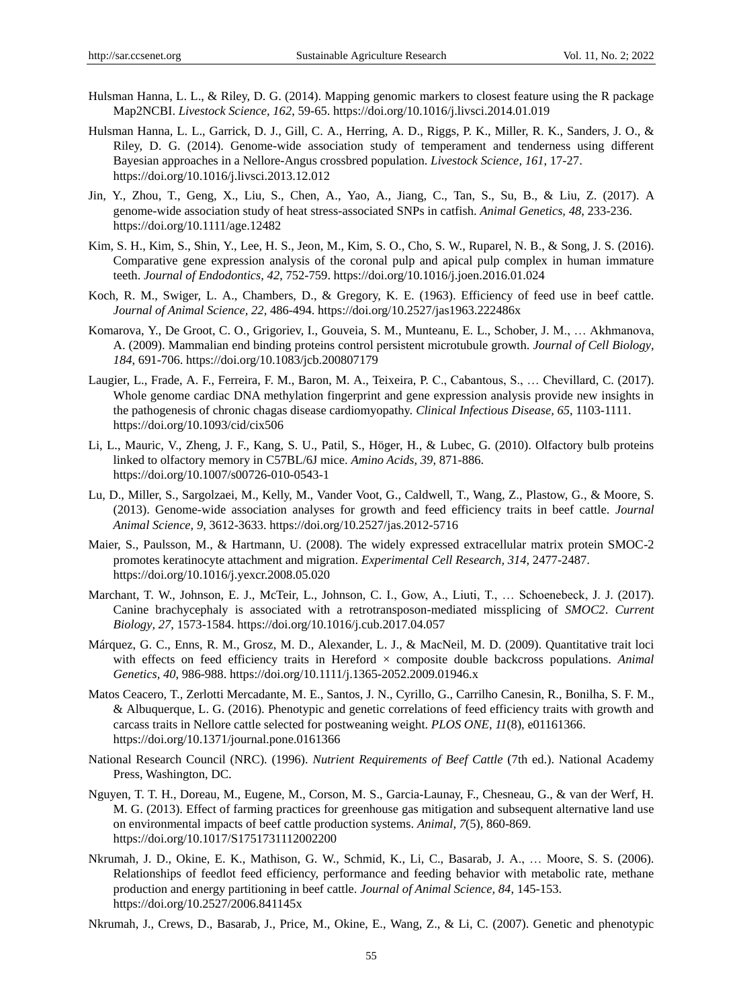- Hulsman Hanna, L. L., & Riley, D. G. (2014). Mapping genomic markers to closest feature using the R package Map2NCBI. *Livestock Science, 162*, 59-65. https://doi.org/10.1016/j.livsci.2014.01.019
- Hulsman Hanna, L. L., Garrick, D. J., Gill, C. A., Herring, A. D., Riggs, P. K., Miller, R. K., Sanders, J. O., & Riley, D. G. (2014). Genome-wide association study of temperament and tenderness using different Bayesian approaches in a Nellore-Angus crossbred population. *Livestock Science, 161*, 17-27. https://doi.org/10.1016/j.livsci.2013.12.012
- Jin, Y., Zhou, T., Geng, X., Liu, S., Chen, A., Yao, A., Jiang, C., Tan, S., Su, B., & Liu, Z. (2017). A genome-wide association study of heat stress-associated SNPs in catfish. *Animal Genetics, 48*, 233-236. https://doi.org/10.1111/age.12482
- Kim, S. H., Kim, S., Shin, Y., Lee, H. S., Jeon, M., Kim, S. O., Cho, S. W., Ruparel, N. B., & Song, J. S. (2016). Comparative gene expression analysis of the coronal pulp and apical pulp complex in human immature teeth. *Journal of Endodontics, 42*, 752-759. https://doi.org/10.1016/j.joen.2016.01.024
- Koch, R. M., Swiger, L. A., Chambers, D., & Gregory, K. E. (1963). Efficiency of feed use in beef cattle. *Journal of Animal Science, 22*, 486-494. https://doi.org/10.2527/jas1963.222486x
- Komarova, Y., De Groot, C. O., Grigoriev, I., Gouveia, S. M., Munteanu, E. L., Schober, J. M., … Akhmanova, A. (2009). Mammalian end binding proteins control persistent microtubule growth. *Journal of Cell Biology, 184*, 691-706. https://doi.org/10.1083/jcb.200807179
- Laugier, L., Frade, A. F., Ferreira, F. M., Baron, M. A., Teixeira, P. C., Cabantous, S., … Chevillard, C. (2017). Whole genome cardiac DNA methylation fingerprint and gene expression analysis provide new insights in the pathogenesis of chronic chagas disease cardiomyopathy. *Clinical Infectious Disease, 65*, 1103-1111. https://doi.org/10.1093/cid/cix506
- Li, L., Mauric, V., Zheng, J. F., Kang, S. U., Patil, S., Höger, H., & Lubec, G. (2010). Olfactory bulb proteins linked to olfactory memory in C57BL/6J mice. *Amino Acids, 39*, 871-886. https://doi.org/10.1007/s00726-010-0543-1
- Lu, D., Miller, S., Sargolzaei, M., Kelly, M., Vander Voot, G., Caldwell, T., Wang, Z., Plastow, G., & Moore, S. (2013). Genome-wide association analyses for growth and feed efficiency traits in beef cattle. *Journal Animal Science, 9*, 3612-3633. https://doi.org/10.2527/jas.2012-5716
- Maier, S., Paulsson, M., & Hartmann, U. (2008). The widely expressed extracellular matrix protein SMOC-2 promotes keratinocyte attachment and migration. *Experimental Cell Research, 314*, 2477-2487. https://doi.org/10.1016/j.yexcr.2008.05.020
- Marchant, T. W., Johnson, E. J., McTeir, L., Johnson, C. I., Gow, A., Liuti, T., … Schoenebeck, J. J. (2017). Canine brachycephaly is associated with a retrotransposon-mediated missplicing of *SMOC2*. *Current Biology, 27*, 1573-1584. https://doi.org/10.1016/j.cub.2017.04.057
- Márquez, G. C., Enns, R. M., Grosz, M. D., Alexander, L. J., & MacNeil, M. D. (2009). Quantitative trait loci with effects on feed efficiency traits in Hereford  $\times$  composite double backcross populations. *Animal Genetics, 40*, 986-988. https://doi.org/10.1111/j.1365-2052.2009.01946.x
- Matos Ceacero, T., Zerlotti Mercadante, M. E., Santos, J. N., Cyrillo, G., Carrilho Canesin, R., Bonilha, S. F. M., & Albuquerque, L. G. (2016). Phenotypic and genetic correlations of feed efficiency traits with growth and carcass traits in Nellore cattle selected for postweaning weight. *PLOS ONE, 11*(8), e01161366. https://doi.org/10.1371/journal.pone.0161366
- National Research Council (NRC). (1996). *Nutrient Requirements of Beef Cattle* (7th ed.). National Academy Press, Washington, DC.
- Nguyen, T. T. H., Doreau, M., Eugene, M., Corson, M. S., Garcia-Launay, F., Chesneau, G., & van der Werf, H. M. G. (2013). Effect of farming practices for greenhouse gas mitigation and subsequent alternative land use on environmental impacts of beef cattle production systems. *Animal, 7*(5), 860-869. https://doi.org/10.1017/S1751731112002200
- Nkrumah, J. D., Okine, E. K., Mathison, G. W., Schmid, K., Li, C., Basarab, J. A., … Moore, S. S. (2006). Relationships of feedlot feed efficiency, performance and feeding behavior with metabolic rate, methane production and energy partitioning in beef cattle. *Journal of Animal Science, 84*, 145-153. https://doi.org/10.2527/2006.841145x
- Nkrumah, J., Crews, D., Basarab, J., Price, M., Okine, E., Wang, Z., & Li, C. (2007). Genetic and phenotypic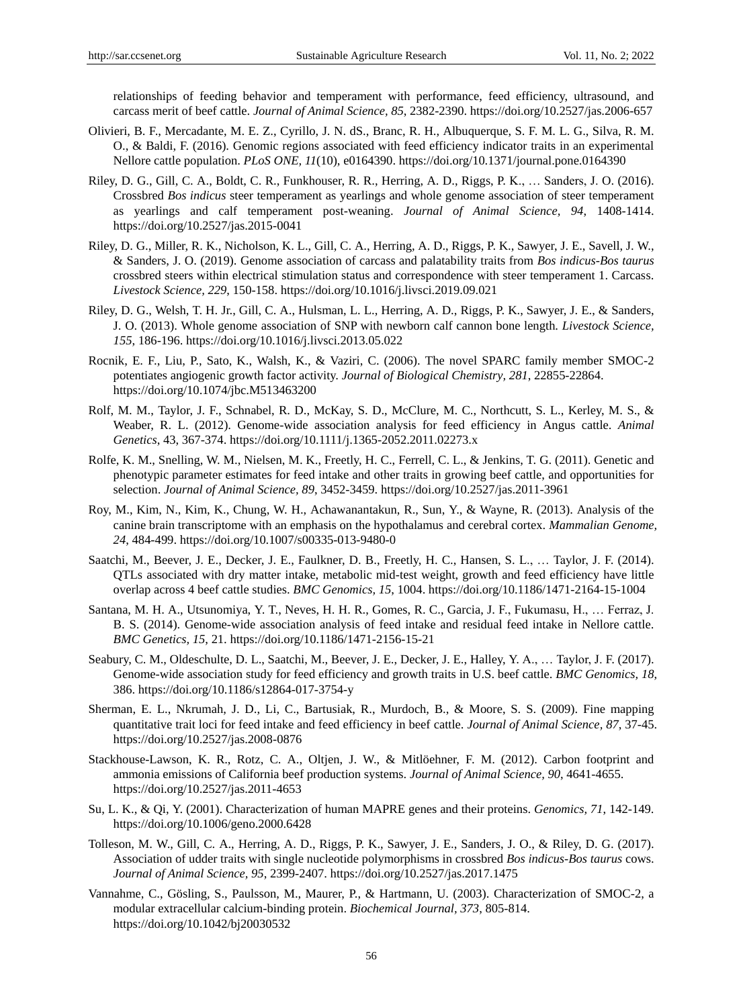relationships of feeding behavior and temperament with performance, feed efficiency, ultrasound, and carcass merit of beef cattle. *Journal of Animal Science, 85*, 2382-2390. https://doi.org/10.2527/jas.2006-657

- Olivieri, B. F., Mercadante, M. E. Z., Cyrillo, J. N. dS., Branc, R. H., Albuquerque, S. F. M. L. G., Silva, R. M. O., & Baldi, F. (2016). Genomic regions associated with feed efficiency indicator traits in an experimental Nellore cattle population. *PLoS ONE, 11*(10), e0164390. https://doi.org/10.1371/journal.pone.0164390
- Riley, D. G., Gill, C. A., Boldt, C. R., Funkhouser, R. R., Herring, A. D., Riggs, P. K., … Sanders, J. O. (2016). Crossbred *Bos indicus* steer temperament as yearlings and whole genome association of steer temperament as yearlings and calf temperament post-weaning. *Journal of Animal Science, 94*, 1408-1414. https://doi.org/10.2527/jas.2015-0041
- Riley, D. G., Miller, R. K., Nicholson, K. L., Gill, C. A., Herring, A. D., Riggs, P. K., Sawyer, J. E., Savell, J. W., & Sanders, J. O. (2019). Genome association of carcass and palatability traits from *Bos indicus-Bos taurus* crossbred steers within electrical stimulation status and correspondence with steer temperament 1. Carcass. *Livestock Science, 229*, 150-158. https://doi.org/10.1016/j.livsci.2019.09.021
- Riley, D. G., Welsh, T. H. Jr., Gill, C. A., Hulsman, L. L., Herring, A. D., Riggs, P. K., Sawyer, J. E., & Sanders, J. O. (2013). Whole genome association of SNP with newborn calf cannon bone length. *Livestock Science, 155*, 186-196. https://doi.org/10.1016/j.livsci.2013.05.022
- Rocnik, E. F., Liu, P., Sato, K., Walsh, K., & Vaziri, C. (2006). The novel SPARC family member SMOC-2 potentiates angiogenic growth factor activity. *Journal of Biological Chemistry, 281*, 22855-22864. https://doi.org/10.1074/jbc.M513463200
- Rolf, M. M., Taylor, J. F., Schnabel, R. D., McKay, S. D., McClure, M. C., Northcutt, S. L., Kerley, M. S., & Weaber, R. L. (2012). Genome-wide association analysis for feed efficiency in Angus cattle. *Animal Genetics*, 43, 367-374. https://doi.org/10.1111/j.1365-2052.2011.02273.x
- Rolfe, K. M., Snelling, W. M., Nielsen, M. K., Freetly, H. C., Ferrell, C. L., & Jenkins, T. G. (2011). Genetic and phenotypic parameter estimates for feed intake and other traits in growing beef cattle, and opportunities for selection. *Journal of Animal Science, 89*, 3452-3459. https://doi.org/10.2527/jas.2011-3961
- Roy, M., Kim, N., Kim, K., Chung, W. H., Achawanantakun, R., Sun, Y., & Wayne, R. (2013). Analysis of the canine brain transcriptome with an emphasis on the hypothalamus and cerebral cortex. *Mammalian Genome, 24*, 484-499. https://doi.org/10.1007/s00335-013-9480-0
- Saatchi, M., Beever, J. E., Decker, J. E., Faulkner, D. B., Freetly, H. C., Hansen, S. L., … Taylor, J. F. (2014). QTLs associated with dry matter intake, metabolic mid-test weight, growth and feed efficiency have little overlap across 4 beef cattle studies. *BMC Genomics, 15*, 1004. https://doi.org/10.1186/1471-2164-15-1004
- Santana, M. H. A., Utsunomiya, Y. T., Neves, H. H. R., Gomes, R. C., Garcia, J. F., Fukumasu, H., … Ferraz, J. B. S. (2014). Genome-wide association analysis of feed intake and residual feed intake in Nellore cattle. *BMC Genetics, 15*, 21. https://doi.org/10.1186/1471-2156-15-21
- Seabury, C. M., Oldeschulte, D. L., Saatchi, M., Beever, J. E., Decker, J. E., Halley, Y. A., … Taylor, J. F. (2017). Genome-wide association study for feed efficiency and growth traits in U.S. beef cattle. *BMC Genomics, 18*, 386. https://doi.org/10.1186/s12864-017-3754-y
- Sherman, E. L., Nkrumah, J. D., Li, C., Bartusiak, R., Murdoch, B., & Moore, S. S. (2009). Fine mapping quantitative trait loci for feed intake and feed efficiency in beef cattle. *Journal of Animal Science, 87*, 37-45. https://doi.org/10.2527/jas.2008-0876
- Stackhouse-Lawson, K. R., Rotz, C. A., Oltjen, J. W., & Mitlöehner, F. M. (2012). Carbon footprint and ammonia emissions of California beef production systems. *Journal of Animal Science, 90*, 4641-4655. https://doi.org/10.2527/jas.2011-4653
- Su, L. K., & Qi, Y. (2001). Characterization of human MAPRE genes and their proteins. *Genomics, 71*, 142-149. https://doi.org/10.1006/geno.2000.6428
- Tolleson, M. W., Gill, C. A., Herring, A. D., Riggs, P. K., Sawyer, J. E., Sanders, J. O., & Riley, D. G. (2017). Association of udder traits with single nucleotide polymorphisms in crossbred *Bos indicus-Bos taurus* cows. *Journal of Animal Science, 95*, 2399-2407. https://doi.org/10.2527/jas.2017.1475
- Vannahme, C., Gösling, S., Paulsson, M., Maurer, P., & Hartmann, U. (2003). Characterization of SMOC-2, a modular extracellular calcium-binding protein. *Biochemical Journal, 373*, 805-814. https://doi.org/10.1042/bj20030532